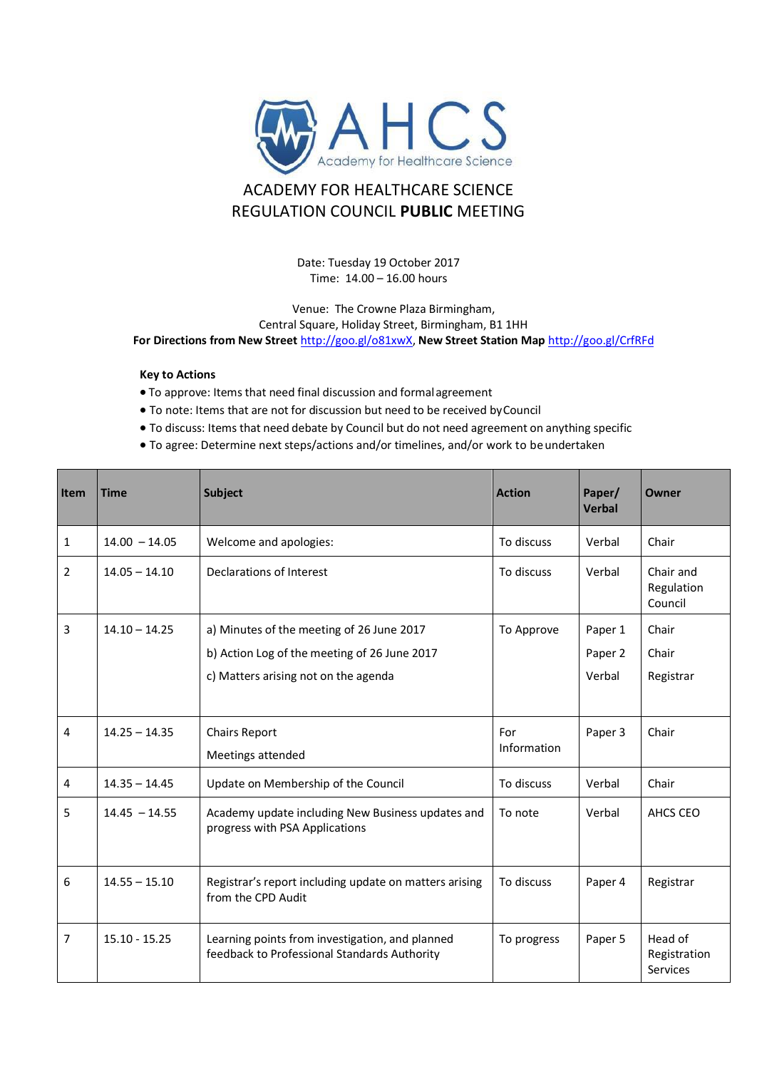

## ACADEMY FOR HEALTHCARE SCIENCE REGULATION COUNCIL **PUBLIC** MEETING

Date: Tuesday 19 October 2017 Time: 14.00 – 16.00 hours

Venue: The Crowne Plaza Birmingham, Central Square, Holiday Street, Birmingham, B1 1HH **For Directions from New Street** [http://goo.gl/o81xwX,](http://goo.gl/o81xwX) **New Street Station Map** <http://goo.gl/CrfRFd>

## **Key to Actions**

- To approve: Items that need final discussion and formalagreement
- To note: Items that are not for discussion but need to be received byCouncil
- To discuss: Items that need debate by Council but do not need agreement on anything specific
- To agree: Determine next steps/actions and/or timelines, and/or work to beundertaken

| Item           | <b>Time</b>     | <b>Subject</b>                                                                                  | <b>Action</b> | Paper/<br><b>Verbal</b> | <b>Owner</b>                        |
|----------------|-----------------|-------------------------------------------------------------------------------------------------|---------------|-------------------------|-------------------------------------|
| 1              | $14.00 - 14.05$ | Welcome and apologies:                                                                          | To discuss    | Verbal                  | Chair                               |
| $\overline{2}$ | $14.05 - 14.10$ | <b>Declarations of Interest</b>                                                                 | To discuss    | Verbal                  | Chair and<br>Regulation<br>Council  |
| 3              | $14.10 - 14.25$ | a) Minutes of the meeting of 26 June 2017                                                       | To Approve    | Paper 1                 | Chair                               |
|                |                 | b) Action Log of the meeting of 26 June 2017                                                    |               | Paper 2                 | Chair                               |
|                |                 | c) Matters arising not on the agenda                                                            |               | Verbal                  | Registrar                           |
|                |                 |                                                                                                 |               |                         |                                     |
| 4              | $14.25 - 14.35$ | <b>Chairs Report</b>                                                                            | For           | Paper 3                 | Chair                               |
|                |                 | Meetings attended                                                                               | Information   |                         |                                     |
| 4              | $14.35 - 14.45$ | Update on Membership of the Council                                                             | To discuss    | Verbal                  | Chair                               |
| 5              | $14.45 - 14.55$ | Academy update including New Business updates and<br>progress with PSA Applications             | To note       | Verbal                  | AHCS CEO                            |
| 6              | $14.55 - 15.10$ | Registrar's report including update on matters arising<br>from the CPD Audit                    | To discuss    | Paper 4                 | Registrar                           |
| 7              | $15.10 - 15.25$ | Learning points from investigation, and planned<br>feedback to Professional Standards Authority | To progress   | Paper 5                 | Head of<br>Registration<br>Services |